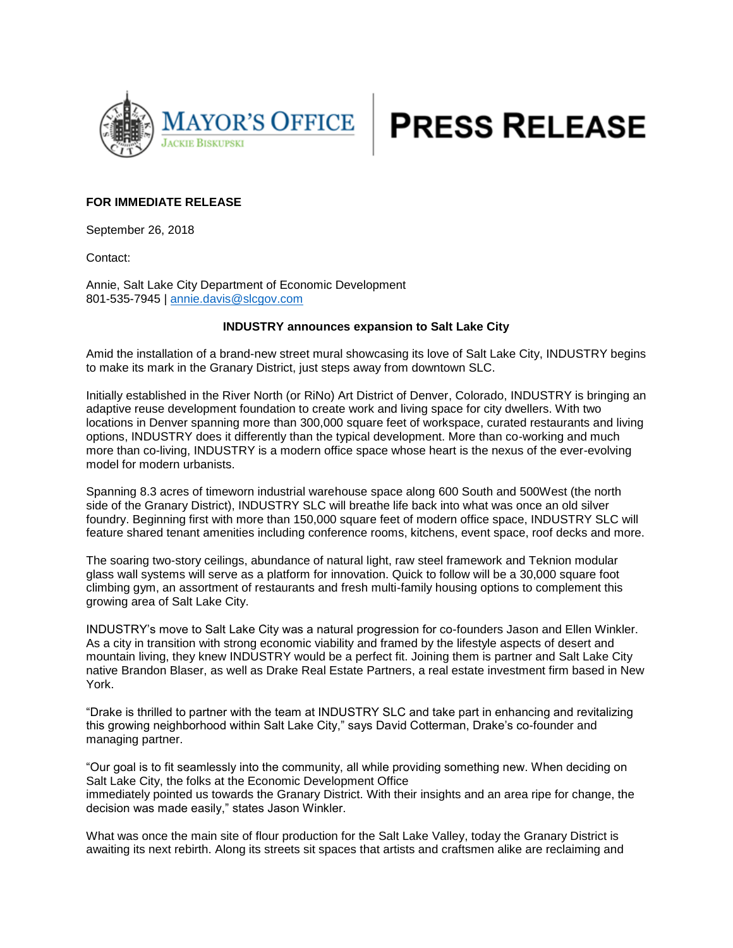



## **FOR IMMEDIATE RELEASE**

September 26, 2018

Contact:

Annie, Salt Lake City Department of Economic Development 801-535-7945 | [annie.davis@slcgov.com](mailto:annie.davis@slcgov.com)

## **INDUSTRY announces expansion to Salt Lake City**

Amid the installation of a brand-new street mural showcasing its love of Salt Lake City, INDUSTRY begins to make its mark in the Granary District, just steps away from downtown SLC.

Initially established in the River North (or RiNo) Art District of Denver, Colorado, INDUSTRY is bringing an adaptive reuse development foundation to create work and living space for city dwellers. With two locations in Denver spanning more than 300,000 square feet of workspace, curated restaurants and living options, INDUSTRY does it differently than the typical development. More than co-working and much more than co-living, INDUSTRY is a modern office space whose heart is the nexus of the ever-evolving model for modern urbanists.

Spanning 8.3 acres of timeworn industrial warehouse space along 600 South and 500West (the north side of the Granary District), INDUSTRY SLC will breathe life back into what was once an old silver foundry. Beginning first with more than 150,000 square feet of modern office space, INDUSTRY SLC will feature shared tenant amenities including conference rooms, kitchens, event space, roof decks and more.

The soaring two-story ceilings, abundance of natural light, raw steel framework and Teknion modular glass wall systems will serve as a platform for innovation. Quick to follow will be a 30,000 square foot climbing gym, an assortment of restaurants and fresh multi-family housing options to complement this growing area of Salt Lake City.

INDUSTRY's move to Salt Lake City was a natural progression for co-founders Jason and Ellen Winkler. As a city in transition with strong economic viability and framed by the lifestyle aspects of desert and mountain living, they knew INDUSTRY would be a perfect fit. Joining them is partner and Salt Lake City native Brandon Blaser, as well as Drake Real Estate Partners, a real estate investment firm based in New York.

"Drake is thrilled to partner with the team at INDUSTRY SLC and take part in enhancing and revitalizing this growing neighborhood within Salt Lake City," says David Cotterman, Drake's co-founder and managing partner.

"Our goal is to fit seamlessly into the community, all while providing something new. When deciding on Salt Lake City, the folks at the Economic Development Office immediately pointed us towards the Granary District. With their insights and an area ripe for change, the decision was made easily," states Jason Winkler.

What was once the main site of flour production for the Salt Lake Valley, today the Granary District is awaiting its next rebirth. Along its streets sit spaces that artists and craftsmen alike are reclaiming and